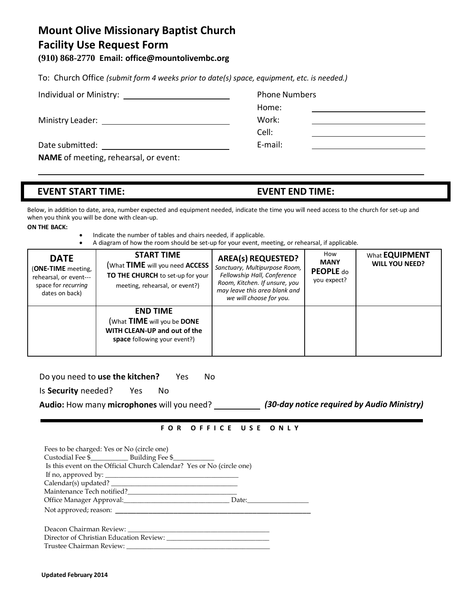## **Mount Olive Missionary Baptist Church Facility Use Request Form**

**(910) 868-2770 Email: [office@mountolivembc.org](mailto:office@mountolivembc.org)**

To: Church Office *(submit form 4 weeks prior to date(s) space, equipment, etc. is needed.)*

|                  | <b>Phone Numbers</b> |  |
|------------------|----------------------|--|
|                  | Home:                |  |
| Ministry Leader: | Work:                |  |
|                  | Cell:                |  |
| Date submitted:  | E-mail:              |  |

**NAME** of meeting, rehearsal, or event:

## **EVENT START TIME: EVENT END TIME:**

Below, in addition to date, area, number expected and equipment needed, indicate the time you will need access to the church for set-up and when you think you will be done with clean-up.

**ON THE BACK:**

- 
- Indicate the number of tables and chairs needed, if applicable.
- A diagram of how the room should be set-up for your event, meeting, or rehearsal, if applicable.

| <b>DATE</b><br>(ONE-TIME meeting,<br>rehearsal, or event---<br>space for recurring<br>dates on back) | <b>START TIME</b><br>(What TIME will you need ACCESS<br><b>TO THE CHURCH</b> to set-up for your<br>meeting, rehearsal, or event?) | <b>AREA(s) REQUESTED?</b><br>Sanctuary, Multipurpose Room,<br>Fellowship Hall, Conference<br>Room, Kitchen. If unsure, you<br>may leave this area blank and<br>we will choose for you. | How<br><b>MANY</b><br>PEOPLE do<br>you expect? | What <b>EQUIPMENT</b><br><b>WILL YOU NEED?</b> |
|------------------------------------------------------------------------------------------------------|-----------------------------------------------------------------------------------------------------------------------------------|----------------------------------------------------------------------------------------------------------------------------------------------------------------------------------------|------------------------------------------------|------------------------------------------------|
|                                                                                                      | <b>END TIME</b><br>(What TIME will you be DONE<br>WITH CLEAN-UP and out of the<br>space following your event?)                    |                                                                                                                                                                                        |                                                |                                                |

Do you need to **use the kitchen?** Yes No

Is **Security** needed? Yes No

**Audio:** How many **microphones** will you need? *(30-day notice required by Audio Ministry)*

## **F O R O F F I C E U S E O N L Y**

| Is this event on the Official Church Calendar? Yes or No (circle one) |  |
|-----------------------------------------------------------------------|--|
|                                                                       |  |
|                                                                       |  |
|                                                                       |  |
| Office Manager Approval: Date: Date:                                  |  |
| Not approved; reason:                                                 |  |
|                                                                       |  |
| Director of Christian Education Review:                               |  |
| Trustee Chairman Review:                                              |  |